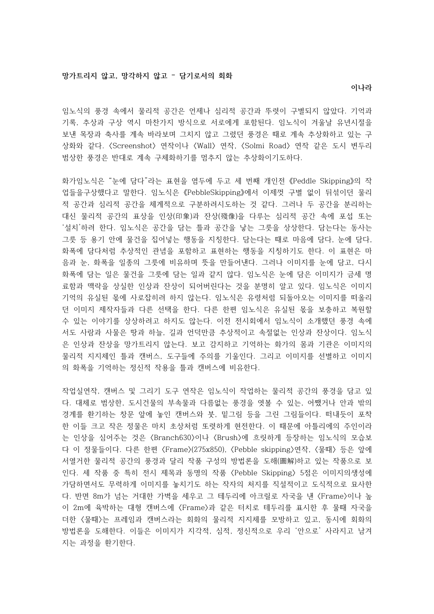임노식의 풍경 속에서 물리적 공간은 언제나 심리적 공간과 뚜렷이 구별되지 않았다. 기억과 기록, 추상과 구상 역시 마찬가지 방식으로 서로에게 포함된다. 임노식이 겨울날 유년시절을 보낸 목장과 축사를 계속 바라보며 그치지 않고 그렸던 풍경은 때로 계속 추상화하고 있는 구 상화와 같다. 〈Screenshot〉 연작이나 〈Wall〉 연작, 〈Solmi Road〉 연작 같은 도시 변두리 범상한 풍경은 반대로 계속 구체화하기를 멈추지 않는 추상화이기도하다.

화가임노식은 "눈에 담다"라는 표현을 염두에 두고 세 번째 개인전 《Peddle Skipping》의 작 업들을구상했다고 말한다. 임노식은 《PebbleSkipping》에서 이제껏 구별 없이 뒤섞이던 물리 적 공간과 심리적 공간을 체계적으로 구분하려시도하는 것 같다. 그러나 두 공간을 분리하는 대신 물리적 공간의 표상을 인상(印象)과 잔상(殘像)을 다루는 심리적 공간 속에 포섭 또는 '설치'하려 한다. 임노식은 공간을 담는 틀과 공간을 낳는 그릇을 상상한다. 담는다는 동사는 그릇 등 용기 안에 물건을 집어넣는 행동을 지칭한다. 담는다는 때로 마음에 담다, 눈에 담다, 화폭에 담다처럼 추상적인 관념을 포함하고 표현하는 행동을 지칭하기도 한다. 이 표현은 마 음과 눈, 화폭을 일종의 그릇에 비유하며 뜻을 만들어낸다. 그러나 이미지를 눈에 담고, 다시 화폭에 담는 일은 물건을 그릇에 담는 일과 같지 않다. 임노식은 눈에 담은 이미지가 금세 명 료함과 맥락을 상실한 인상과 잔상이 되어버린다는 것을 분명히 알고 있다. 임노식은 이미지 기억의 유실된 몫에 사로잡히려 하지 않는다. 임노식은 유령처럼 되돌아오는 이미지를 떠올리 던 이미지 제작자들과 다른 선택을 한다. 다른 한편 임노식은 유실된 몫을 보충하고 복원할 수 있는 이야기를 상상하려고 하지도 않는다. 이전 전시회에서 임노식이 소개했던 풍경 속에 서도 사람과 사물은 땅과 하늘, 길과 언덕만큼 추상적이고 속절없는 인상과 잔상이다. 임노식 은 인상과 잔상을 망가트리지 않는다. 보고 감지하고 기억하는 화가의 몸과 기관은 이미지의 물리적 지지체인 틀과 캔버스, 도구들에 주의를 기울인다. 그리고 이미지를 선별하고 이미지 의 화폭을 기억하는 정신적 작용을 틀과 캔버스에 비유한다.

작업실연작, 캔버스 및 그리기 도구 연작은 임노식이 작업하는 물리적 공간의 풍경을 담고 있 다. 대체로 범상한, 도시건물의 부속물과 다름없는 풍경을 엿볼 수 있는, 어쨌거나 안과 밖의 경계를 환기하는 창문 앞에 놓인 캔버스와 붓, 밑그림 등을 그린 그림들이다. 떠내듯이 포착 한 이들 크고 작은 정물은 마치 초상처럼 또렷하게 현전한다. 이 때문에 아틀리에의 주인이라 는 인상을 심어주는 것은 〈Branch630〉이나 〈Brush〉에 흐릿하게 등장하는 임노식의 모습보 다 이 정물들이다. 다른 한편 〈Frame〉(275x850), 〈Pebble skipping〉연작, 〈물때〉 등은 앞에 서열거한 물리적 공간의 풍경과 달리 작품 구성의 방법론을 도해(圖解)하고 있는 작품으로 보 인다. 세 작품 중 특히 전시 제목과 동명의 작품 〈Pebble Skipping〉 5점은 이미지의생성에 가담하면서도 무력하게 이미지를 놓치기도 하는 작자의 처지를 직설적이고 도식적으로 묘사한 다. 반면 8m가 넘는 거대한 가벽을 세우고 그 테두리에 아크릴로 자국을 낸 〈Frame〉이나 높 이 2m에 육박하는 대형 캔버스에 〈Frame〉과 같은 터치로 테두리를 표시한 후 물때 자국을 더한 〈물때〉는 프레임과 캔버스라는 회화의 물리적 지지체를 모방하고 있고, 동시에 회화의 방법론을 도해한다. 이들은 이미지가 지각적, 심적, 정신적으로 우리 '안으로' 사라지고 남겨 지는 과정을 환기한다.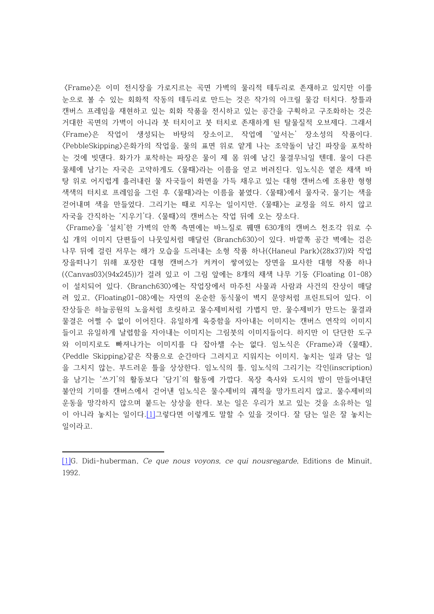〈 〉 Frame 은 이미 전시장을 가로지르는 곡면 가벽의 물리적 테두리로 존재하고 있지만 이를 눈으로 볼 수 있는 회화적 작동의 테두리로 만드는 것은 작가의 아크릴 물감 터치다. 창틀과 캔버스 프레임을 재현하고 있는 회화 작품을 전시하고 있는 공간을 구획하고 구조화하는 것은 거대한 곡면의 가벽이 아니라 붓 터치이고 붓 터치로 존재하게 된 탈물질적 오브제다. 그래서 〈Frame〉은 작업이 생성되는 바탕의 장소이고, 작업에 '앞서는' 장소성의 작품이다. 〈 〉 PebbleSkipping , 은화가의 작업을 물의 표면 위로 얕게 나는 조약돌이 남긴 파장을 포착하 는 것에 빗댄다. 화가가 포착하는 파장은 물이 제 몸 위에 남긴 물결무늬일 텐데, 물이 다른 물체에 남기는 자국은 고약하게도 〈물때〉라는 이름을 얻고 버려진다. 임노식은 옅은 채색 바 탕 위로 어지럽게 흘러내린 물 자국들이 화면을 가득 채우고 있는 대형 캔버스에 조용한 형형 색색의 터치로 프레임을 그린 후 〈물때〉라는 이름을 붙였다. 〈물때〉에서 물자국, 물기는 색을 걷어내며 색을 만들었다. 그리기는 때로 지우는 일이지만, 〈물때〉는 교정을 의도 하지 않고 자국을 간직하는 '지우기'다. 〈물때〉의 캔버스는 작업 뒤에 오는 장소다.

〈Frame〉을 '설치'한 가벽의 안쪽 측면에는 바느질로 꿰맨 630개의 캔버스 천조각 위로 수 십 개의 이미지 단편들이 나뭇잎처럼 매달린 〈Branch630〉이 있다. 바깥쪽 공간 벽에는 검은 나무 뒤에 걸린 저무는 해가 모습을 드러내는 소형 작품 하나(〈Haneul Park〉(28x37))와 작업 장을떠나기 위해 포장한 대형 캔버스가 켜켜이 쌓여있는 장면을 묘사한 대형 작품 하나 ( Canvas03 (94x245)) 8 Floating 01-08 〈〉 〈 〉 가 걸려 있고 이 그림 앞에는 개의 채색 나무 기둥 이 설치되어 있다. 〈Branch630〉에는 작업장에서 마주친 사물과 사람과 사건의 잔상이 매달 려 있고, 〈Floating01-08〉에는 자연의 온순한 동식물이 벽지 문양처럼 프린트되어 있다. 이 잔상들은 하늘공원의 노을처럼 흐릿하고 물수제비처럼 가볍지 만, 물수제비가 만드는 물결과 물결은 어쩔 수 없이 이어진다. 유일하게 육중함을 자아내는 이미지는 캔버스 연작의 이미지 들이고 유일하게 날렵함을 자아내는 이미지는 그림붓의 이미지들이다. 하지만 이 단단한 도구 와 이미지로도 빠져나가는 이미지를 다 잡아챌 수는 없다. 임노식은 〈Frame〉과 〈물때〉, 〈 〉 Peddle Skipping , 같은 작품으로 순간마다 그려지고 지워지는 이미지 놓치는 일과 담는 일 을 그치지 않는, 부드러운 틀을 상상한다. 임노식의 틀, 임노식의 그리기는 각인(inscription) 을 남기는 '쓰기'의 활동보다 '담기'의 활동에 가깝다. 목장 축사와 도시의 밤이 만들어내던 불안의 기미를 캔버스에서 걷어낸 임노식은 물수제비의 궤적을 망가트리지 않고, 물수제비의 운동을 망각하지 않으며 붙드는 상상을 한다. 보는 일은 우리가 보고 있는 것을 소유하는 일 이 아니라 놓치는 일이다.[1]그렇다면 이렇게도 말할 수 있을 것이다. 잘 담는 일은 잘 놓치는 일이라고.

<sup>[1]</sup>G. Didi-huberman, Ce que nous voyons, ce qui nousregarde, Editions de Minuit, 1992.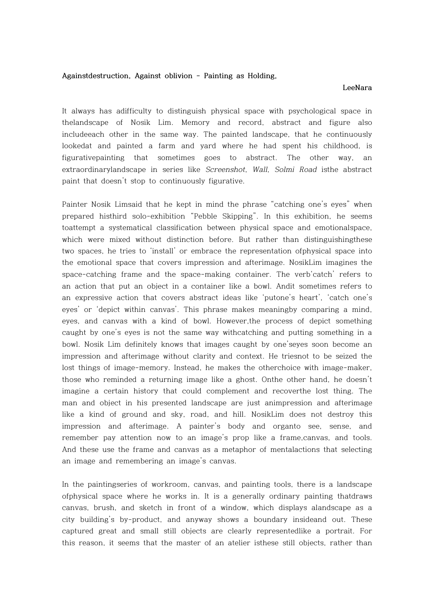## **Againstdestruction, Against oblivion - Painting as Holding,**

## **LeeNara**

It always has adifficulty to distinguish physical space with psychological space in thelandscape of Nosik Lim. Memory and record, abstract and figure also includeeach other in the same way. The painted landscape, that he continuously lookedat and painted a farm and yard where he had spent his childhood, is figurativepainting that sometimes goes to abstract. The other way, an extraordinarylandscape in series like Screenshot, Wall, Solmi Road isthe abstract paint that doesn't stop to continuously figurative.

Painter Nosik Limsaid that he kept in mind the phrase "catching one's eyes" when prepared histhird solo-exhibition "Pebble Skipping". In this exhibition, he seems toattempt a systematical classification between physical space and emotionalspace, which were mixed without distinction before. But rather than distinguishingthese two spaces, he tries to 'install' or embrace the representation ofphysical space into the emotional space that covers impression and afterimage. NosikLim imagines the space-catching frame and the space-making container. The verb'catch' refers to an action that put an object in a container like a bowl. Andit sometimes refers to an expressive action that covers abstract ideas like 'putone's heart', 'catch one's eyes' or 'depict within canvas'. This phrase makes meaningby comparing a mind, eyes, and canvas with a kind of bowl. However,the process of depict something caught by one's eyes is not the same way withcatching and putting something in a bowl. Nosik Lim definitely knows that images caught by one'seyes soon become an impression and afterimage without clarity and context. He triesnot to be seized the lost things of image-memory. Instead, he makes the otherchoice with image-maker, those who reminded a returning image like a ghost. Onthe other hand, he doesn't imagine a certain history that could complement and recoverthe lost thing. The man and object in his presented landscape are just animpression and afterimage like a kind of ground and sky, road, and hill. NosikLim does not destroy this impression and afterimage. A painter's body and organto see, sense, and remember pay attention now to an image's prop like a frame,canvas, and tools. And these use the frame and canvas as a metaphor of mentalactions that selecting an image and remembering an image's canvas.

In the paintingseries of workroom, canvas, and painting tools, there is a landscape ofphysical space where he works in. It is a generally ordinary painting thatdraws canvas, brush, and sketch in front of a window, which displays alandscape as a city building's by-product, and anyway shows a boundary insideand out. These captured great and small still objects are clearly representedlike a portrait. For this reason, it seems that the master of an atelier isthese still objects, rather than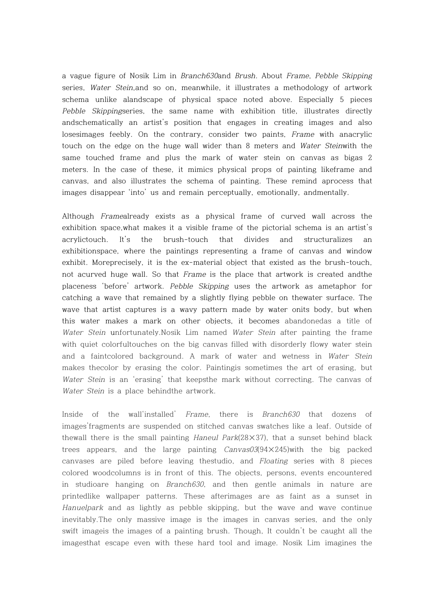a vague figure of Nosik Lim in Branch630and Brush. About Frame, Pebble Skipping series, Water Stein,and so on, meanwhile, it illustrates a methodology of artwork schema unlike alandscape of physical space noted above. Especially 5 pieces Pebble Skippingseries, the same name with exhibition title, illustrates directly andschematically an artist's position that engages in creating images and also losesimages feebly. On the contrary, consider two paints, Frame with anacrylic touch on the edge on the huge wall wider than 8 meters and Water Steinwith the same touched frame and plus the mark of water stein on canvas as bigas 2 meters. In the case of these, it mimics physical props of painting likeframe and canvas, and also illustrates the schema of painting. These remind aprocess that images disappear 'into' us and remain perceptually, emotionally, andmentally.

Although Framealready exists as a physical frame of curved wall across the exhibition space,what makes it a visible frame of the pictorial schema is an artist's acrylictouch. It's the brush-touch that divides and structuralizes an exhibitionspace, where the paintings representing a frame of canvas and window exhibit. Moreprecisely, it is the ex-material object that existed as the brush-touch, not acurved huge wall. So that Frame is the place that artwork is created and the placeness 'before' artwork. Pebble Skipping uses the artwork as ametaphor for catching a wave that remained by a slightly flying pebble on thewater surface. The wave that artist captures is a wavy pattern made by water onits body, but when this water makes a mark on other objects, it becomes abandonedas a title of Water Stein unfortunately.Nosik Lim named Water Stein after painting the frame with quiet colorfultouches on the big canvas filled with disorderly flowy water stein and a faintcolored background. A mark of water and wetness in Water Stein makes thecolor by erasing the color. Paintingis sometimes the art of erasing, but Water Stein is an 'erasing' that keepsthe mark without correcting. The canvas of Water Stein is a place behindthe artwork.

Inside of the wall'installed' Frame, there is Branch630 that dozens of images'fragments are suspended on stitched canvas swatches like a leaf. Outside of thewall there is the small painting Haneul Park( $28\times37$ ), that a sunset behind black trees appears, and the large painting  $Canvas03(94\times245)$  with the big packed canvases are piled before leaving thestudio, and Floating series with 8 pieces colored woodcolumns is in front of this. The objects, persons, events encountered in studioare hanging on Branch630, and then gentle animals in nature are printedlike wallpaper patterns. These afterimages are as faint as a sunset in Hanuelpark and as lightly as pebble skipping, but the wave and wave continue inevitably.The only massive image is the images in canvas series, and the only swift imageis the images of a painting brush. Though, It couldn't be caught all the imagesthat escape even with these hard tool and image. Nosik Lim imagines the